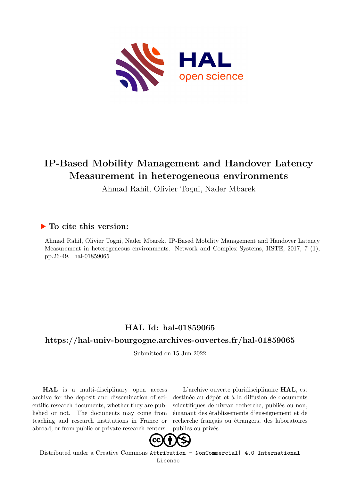

# **IP-Based Mobility Management and Handover Latency Measurement in heterogeneous environments**

Ahmad Rahil, Olivier Togni, Nader Mbarek

# **To cite this version:**

Ahmad Rahil, Olivier Togni, Nader Mbarek. IP-Based Mobility Management and Handover Latency Measurement in heterogeneous environments. Network and Complex Systems, IISTE, 2017, 7 (1), pp.26-49. hal-01859065

# **HAL Id: hal-01859065**

# **<https://hal-univ-bourgogne.archives-ouvertes.fr/hal-01859065>**

Submitted on 15 Jun 2022

**HAL** is a multi-disciplinary open access archive for the deposit and dissemination of scientific research documents, whether they are published or not. The documents may come from teaching and research institutions in France or abroad, or from public or private research centers.

L'archive ouverte pluridisciplinaire **HAL**, est destinée au dépôt et à la diffusion de documents scientifiques de niveau recherche, publiés ou non, émanant des établissements d'enseignement et de recherche français ou étrangers, des laboratoires publics ou privés.



Distributed under a Creative Commons [Attribution - NonCommercial| 4.0 International](http://creativecommons.org/licenses/by-nc/4.0/) [License](http://creativecommons.org/licenses/by-nc/4.0/)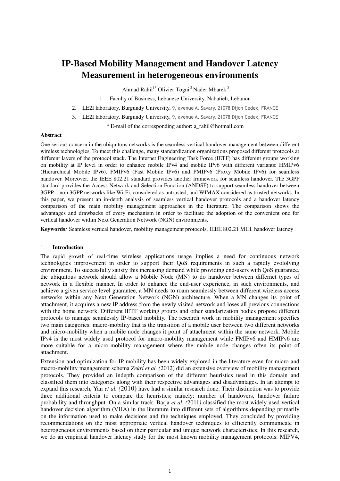# **IP-Based Mobility Management and Handover Latency Measurement in heterogeneous environments**

Ahmad Rahil<sup>1\*</sup> Olivier Togni<sup>2</sup> Nader Mbarek<sup>3</sup>

1. Faculty of Business, Lebanese University, Nabatieh, Lebanon

- 2. LE2I laboratory, Burgundy University, 9, avenue A. Savary, 21078 Dijon Cedex, FRANCE
- 3. LE2I laboratory, Burgundy University, 9, avenue A. Savary, 21078 Dijon Cedex, FRANCE

\* E-mail of the corresponding author: a\_rahil@hotmail.com

## **Abstract**

One serious concern in the ubiquitous networks is the seamless vertical handover management between different wireless technologies. To meet this challenge, many standardization organizations proposed different protocols at different layers of the protocol stack. The Internet Engineering Task Force (IETF) has different groups working on mobility at IP level in order to enhance mobile IPv4 and mobile IPv6 with different variants: HMIPv6 (Hierarchical Mobile IPv6), FMIPv6 (Fast Mobile IPv6) and PMIPv6 (Proxy Mobile IPv6) for seamless handover. Moreover, the IEEE 802.21 standard provides another framework for seamless handover. The 3GPP standard provides the Access Network and Selection Function (ANDSF) to support seamless handover between 3GPP – non 3GPP networks like Wi-Fi, considered as untrusted, and WIMAX considered as trusted networks. In this paper, we present an in-depth analysis of seamless vertical handover protocols and a handover latency comparison of the main mobility management approaches in the literature. The comparison shows the advantages and drawbacks of every mechanism in order to facilitate the adoption of the convenient one for vertical handover within Next Generation Network (NGN) environments*.*

**Keywords***:* Seamless vertical handover, mobility management protocols, IEEE 802.21 MIH, handover latency

## 1. **Introduction**

The rapid growth of real-time wireless applications usage implies a need for continuous network technologies improvement in order to support their QoS requirements in such a rapidly evololving environment. To successfully satisfy this increasing demand while providing end-users with QoS guarantee, the ubiquitous network should allow a Mobile Node (MN) to do handover between differnet types of network in a flexible manner. In order to enhance the end-user experience, in such environments, and achieve a given service level guarantee, a MN needs to roam seamlessly between different wireless access networks within any Next Generation Network (NGN) architecture. When a MN changes its point of attachment, it acquires a new IP address from the newly visited network and loses all previous connections with the home network. Different IETF working groups and other standarization bodies propose different protocols to manage seamlessly IP-based mobility. The research work in mobility management specifies two main categories: macro-mobility that is the transition of a mobile user between two different networks and micro-mobility when a mobile node changes it point of attachment within the same network. Mobile IPv4 is the most widely used protocol for macro-mobility management while FMIPv6 and HMIPv6 are more suitable for a micro-mobility management where the mobile node changes often its point of attachment.

Extension and optimization for IP mobility has been widely explored in the literature even for micro and macro-mobility management schema *Zekri et al. (*2012) did an extensive overview of mobility management protocols. They provided an indepth comparison of the different heuristics used in this domain and classified them into categories along with their respective advantages and disadvantages. In an attempt to expand this research, Yan *et al. (*2010) have had a similar research done. Their distinction was to provide three additional criteria to compare the heuristics; namely: number of handovers, handover failure probability and throughput. On a similar track, Barja *et al. (*2011*)* classified the most widely used vertical handover decision algorithm (VHA) in the literature into different sets of algorithms depending primarily on the information used to make decisions and the techniques employed. They concluded by providing recommendations on the most appropriate vertical handover techniques to efficiently communicate in heterogeneous environments based on their particular and unique network characteristics. In this research, we do an empirical handover latency study for the most known mobility management protocols: MIPV4,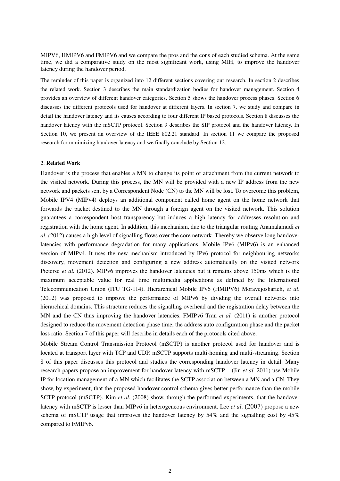MIPV6, HMIPV6 and FMIPV6 and we compare the pros and the cons of each studied schema. At the same time, we did a comparative study on the most significant work, using MIH, to improve the handover latency during the handover period.

The reminder of this paper is organized into 12 different sections covering our research. In section 2 describes the related work. Section 3 describes the main standardization bodies for handover management. Section 4 provides an overview of different handover categories. Section 5 shows the handover process phases. Section 6 discusses the different protocols used for handover at different layers. In section 7, we study and compare in detail the handover latency and its causes according to four different IP based protocols. Section 8 discusses the handover latency with the mSCTP protocol. Section 9 describes the SIP protocol and the handover latency. In Section 10, we present an overview of the IEEE 802.21 standard. In section 11 we compare the proposed research for minimizing handover latency and we finally conclude by Section 12.

## 2. **Related Work**

Handover is the process that enables a MN to change its point of attachment from the current network to the visited network. During this process, the MN will be provided with a new IP address from the new network and packets sent by a Correspondent Node (CN) to the MN will be lost. To overcome this problem, Mobile IPV4 (MIPv4) deploys an additional component called home agent on the home network that forwards the packet destined to the MN through a foreign agent on the visited network. This solution guarantees a correspondent host transparency but induces a high latency for addresses resolution and registration with the home agent. In addition, this mechanism, due to the triangular routing Anamalamudi *et al. (*2012) causes a high level of signalling flows over the core network. Thereby we observe long handover latencies with performance degradation for many applications. Mobile IPv6 (MIPv6) is an enhanced version of MIPv4. It uses the new mechanism introduced by IPv6 protocol for neighbouring networks discovery, movement detection and configuring a new address automatically on the visited network Pieterse *et al.* (2012). MIPv6 improves the handover latencies but it remains above 150ms which is the maximum acceptable value for real time multimedia applications as defined by the International Telecommunication Union (ITU TG-114). Hierarchical Mobile IPv6 (HMIPV6) Moravejosharieh, *et al*. (2012) was proposed to improve the performance of MIPv6 by dividing the overall networks into hierarchical domains. This structure reduces the signalling overhead and the registration delay between the MN and the CN thus improving the handover latencies. FMIPv6 Tran *et al.* (2011) is another protocol designed to reduce the movement detection phase time, the address auto configuration phase and the packet loss ratio. Section 7 of this paper will describe in details each of the protocols cited above.

Mobile Stream Control Transmission Protocol (mSCTP) is another protocol used for handover and is located at transport layer with TCP and UDP. mSCTP supports multi-homing and multi-streaming. Section 8 of this paper discusses this protocol and studies the corresponding handover latency in detail. Many research papers propose an improvement for handover latency with mSCTP. (Jin *et al.* 2011) use Mobile IP for location management of a MN which facilitates the SCTP association between a MN and a CN. They show, by experiment, that the proposed handover control schema gives better performance than the mobile SCTP protocol (mSCTP). Kim *et al.* (2008) show, through the performed experiments, that the handover latency with mSCTP is lesser than MIPv6 in heterogeneous environment. Lee *et al*. (2007) propose a new schema of mSCTP usage that improves the handover latency by 54% and the signalling cost by 45% compared to FMIPv6.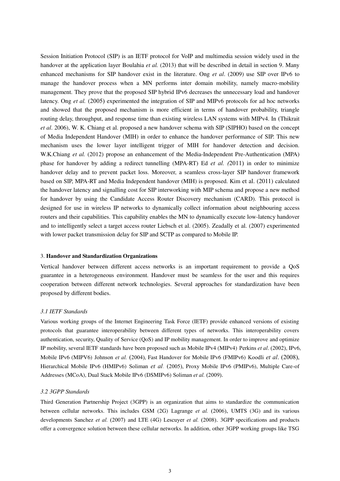Session Initiation Protocol (SIP) is an IETF protocol for VoIP and multimedia session widely used in the handover at the application layer Boulahia *et al.* (2013) that will be described in detail in section 9. Many enhanced mechanisms for SIP handover exist in the literature. Ong *et al*. (2009) use SIP over IPv6 to manage the handover process when a MN performs inter domain mobility, namely macro-mobility management. They prove that the proposed SIP hybrid IPv6 decreases the unnecessary load and handover latency. Ong *et al.* (2005) experimented the integration of SIP and MIPv6 protocols for ad hoc networks and showed that the proposed mechanism is more efficient in terms of handover probability, triangle routing delay, throughput, and response time than existing wireless LAN systems with MIPv4. In (Thikrait *et al*. 2006), W. K. Chiang et al. proposed a new handover schema with SIP (SIPHO) based on the concept of Media Independent Handover (MIH) in order to enhance the handover performance of SIP. This new mechanism uses the lower layer intelligent trigger of MIH for handover detection and decision. W.K.Chiang *et al.* (2012) propose an enhancement of the Media-Independent Pre-Authentication (MPA) phase for handover by adding a redirect tunnelling (MPA-RT) Ed *et al. (*2011) in order to minimize handover delay and to prevent packet loss. Moreover, a seamless cross-layer SIP handover framework based on SIP, MPA-RT and Media Independent handover (MIH) is proposed. Kim et al. (2011) calculated the handover latency and signalling cost for SIP interworking with MIP schema and propose a new method for handover by using the Candidate Access Router Discovery mechanism (CARD). This protocol is designed for use in wireless IP networks to dynamically collect information about neighbouring access routers and their capabilities. This capability enables the MN to dynamically execute low-latency handover and to intelligently select a target access router Liebsch et al. (2005). Zeadally et al. (2007) experimented with lower packet transmission delay for SIP and SCTP as compared to Mobile IP.

#### 3. **Handover and Standardization Organizations**

Vertical handover between different access networks is an important requirement to provide a QoS guarantee in a heterogeneous environment. Handover must be seamless for the user and this requires cooperation between different network technologies. Several approaches for standardization have been proposed by different bodies.

## *3.1 IETF Standards*

Various working groups of the Internet Engineering Task Force (IETF) provide enhanced versions of existing protocols that guarantee interoperability between different types of networks. This interoperability covers authentication, security, Quality of Service (QoS) and IP mobility management. In order to improve and optimize IP mobility, several IETF standards have been proposed such as Mobile IPv4 (MIPv4) Perkins *et al*. (2002), IPv6, Mobile IPv6 (MIPV6) Johnson *et al.* (2004), Fast Handover for Mobile IPv6 (FMIPv6) Koodli *et al*. (2008), Hierarchical Mobile IPv6 (HMIPv6) Soliman *et al*.(2005), Proxy Mobile IPv6 (PMIPv6), Multiple Care-of Addresses (MCoA), Dual Stack Mobile IPv6 (DSMIPv6) Soliman *et al.* (2009).

## *3.2 3GPP Standards*

Third Generation Partnership Project (3GPP) is an organization that aims to standardize the communication between cellular networks. This includes GSM (2G) Lagrange *et al.* (2006), UMTS (3G) and its various developments Sanchez *et al.* (2007) and LTE (4G) Lescuyer *et al.* (2008). 3GPP specifications and products offer a convergence solution between these cellular networks. In addition, other 3GPP working groups like TSG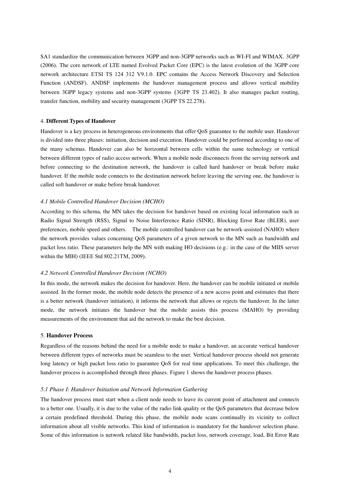SA1 standardize the communication between 3GPP and non-3GPP networks such as WI-FI and WIMAX. 3GPP (2006). The core network of LTE named Evolved Packet Core (EPC) is the latest evolution of the 3GPP core network architecture ETSI TS 124 312 V9.1.0. EPC contains the Access Network Discovery and Selection Function (ANDSF). ANDSF implements the handover management process and allows vertical mobility between 3GPP legacy systems and non-3GPP systems (3GPP TS 23.402). It also manages packet routing, transfer function, mobility and security management (3GPP TS 22.278).

#### 4. **Different Types of Handover**

Handover is a key process in heterogeneous environments that offer QoS guarantee to the mobile user. Handover is divided into three phases: initiation, decision and execution. Handover could be performed according to one of the many schemas. Handover can also be horizontal between cells within the same technology or vertical between different types of radio access network. When a mobile node disconnects from the serving network and before connecting to the destination network, the handover is called hard handover or break before make handover. If the mobile node connects to the destination network before leaving the serving one, the handover is called soft handover or make before break handover.

#### *4.1 Mobile Controlled Handover Decision (MCHO)*

According to this schema, the MN takes the decision for handover based on existing local information such as Radio Signal Strength (RSS), Signal to Noise Interference Ratio (SINR), Blocking Error Rate (BLER), user preferences, mobile speed and others. The mobile controlled handover can be network-assisted (NAHO) where the network provides values concerning QoS parameters of a given network to the MN such as bandwidth and packet loss ratio. These parameters help the MN with making HO decisions (e.g.: in the case of the MIIS server within the MIH) (IEEE Std 802.21TM, 2009).

#### *4.2 Network Controlled Handover Decision (NCHO)*

In this mode, the network makes the decision for handover. Here, the handover can be mobile initiated or mobile assisted. In the former mode, the mobile node detects the presence of a new access point and estimates that there is a better network (handover initiation), it informs the network that allows or rejects the handover. In the latter mode, the network initiates the handover but the mobile assists this process (MAHO) by providing measurements of the environment that aid the network to make the best decision.

## 5. **Handover Process**

Regardless of the reasons behind the need for a mobile node to make a handover, an accurate vertical handover between different types of networks must be seamless to the user. Vertical handover process should not generate long latency or high packet loss ratio to guarantee QoS for real time applications. To meet this challenge, the handover process is accomplished through three phases. Figure 1 shows the handover process phases.

#### *5.1 Phase I: Handover Initiation and Network Information Gathering*

The handover process must start when a client node needs to leave its current point of attachment and connects to a better one. Usually, it is due to the value of the radio link quality or the QoS parameters that decrease below a certain predefined threshold. During this phase, the mobile node scans continually its vicinity to collect information about all visible networks. This kind of information is mandatory for the handover selection phase. Some of this information is network related like bandwidth, packet loss, network coverage, load, Bit Error Rate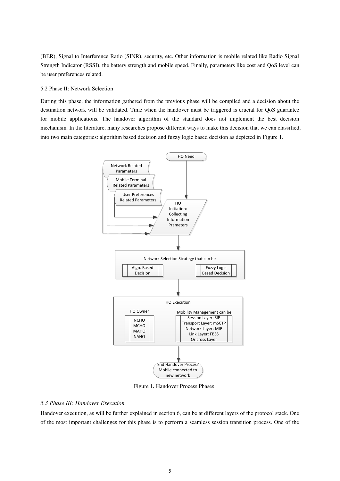(BER), Signal to Interference Ratio (SINR), security, etc. Other information is mobile related like Radio Signal Strength Indicator (RSSI), the battery strength and mobile speed. Finally, parameters like cost and QoS level can be user preferences related.

#### 5.2 Phase II: Network Selection

During this phase, the information gathered from the previous phase will be compiled and a decision about the destination network will be validated. Time when the handover must be triggered is crucial for QoS guarantee for mobile applications. The handover algorithm of the standard does not implement the best decision mechanism. In the literature, many researches propose different ways to make this decision that we can classified, into two main categories: algorithm based decision and fuzzy logic based decision as depicted in Figure 1**.** 



Figure 1**.** Handover Process Phases

## *5.3 Phase III: Handover Execution*

Handover execution, as will be further explained in section 6, can be at different layers of the protocol stack. One of the most important challenges for this phase is to perform a seamless session transition process. One of the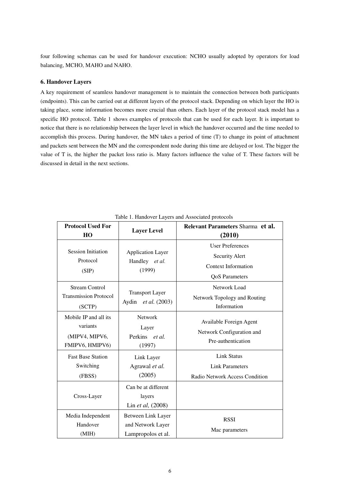four following schemas can be used for handover execution: NCHO usually adopted by operators for load balancing, MCHO, MAHO and NAHO.

## **6. Handover Layers**

A key requirement of seamless handover management is to maintain the connection between both participants (endpoints). This can be carried out at different layers of the protocol stack. Depending on which layer the HO is taking place, some information becomes more crucial than others. Each layer of the protocol stack model has a specific HO protocol. Table 1 shows examples of protocols that can be used for each layer. It is important to notice that there is no relationship between the layer level in which the handover occurred and the time needed to accomplish this process. During handover, the MN takes a period of time (T) to change its point of attachment and packets sent between the MN and the correspondent node during this time are delayed or lost. The bigger the value of T is, the higher the packet loss ratio is. Many factors influence the value of T. These factors will be discussed in detail in the next sections.

| <b>Protocol Used For</b><br>HO                                         | <b>Layer Level</b>                                            | Relevant Parameters Sharma et al.<br>(2010)                                                             |
|------------------------------------------------------------------------|---------------------------------------------------------------|---------------------------------------------------------------------------------------------------------|
| <b>Session Initiation</b><br>Protocol<br>(SIP)                         | <b>Application Layer</b><br>Handley et al.<br>(1999)          | <b>User Preferences</b><br><b>Security Alert</b><br><b>Context Information</b><br><b>QoS</b> Parameters |
| <b>Stream Control</b><br><b>Transmission Protocol</b><br>(SCTP)        | <b>Transport Layer</b><br>Aydin<br><i>et al.</i> (2003)       | Network Load<br>Network Topology and Routing<br>Information                                             |
| Mobile IP and all its<br>variants<br>(MIPV4, MIPV6,<br>FMIPV6, HMIPV6) | <b>Network</b><br>Layer<br>Perkins et al.<br>(1997)           | Available Foreign Agent<br>Network Configuration and<br>Pre-authentication                              |
| <b>Fast Base Station</b><br>Switching<br>(FBSS)                        | Link Layer<br>Agrawal et al.<br>(2005)                        | <b>Link Status</b><br><b>Link Parameters</b><br>Radio Network Access Condition                          |
| Cross-Layer                                                            | Can be at different<br>layers<br>Lin et al, (2008)            |                                                                                                         |
| Media Independent<br>Handover<br>(MIH)                                 | Between Link Layer<br>and Network Layer<br>Lampropolos et al. | <b>RSSI</b><br>Mac parameters                                                                           |

Table 1. Handover Layers and Associated protocols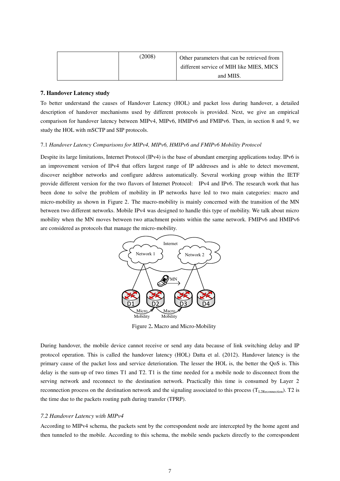| (2008) | Other parameters that can be retrieved from |
|--------|---------------------------------------------|
|        | different service of MIH like MIES, MICS    |
|        | and MIIS.                                   |

## **7. Handover Latency study**

To better understand the causes of Handover Latency (HOL) and packet loss during handover, a detailed description of handover mechanisms used by different protocols is provided. Next, we give an empirical comparison for handover latency between MIPv4, MIPv6, HMIPv6 and FMIPv6. Then, in section 8 and 9, we study the HOL with mSCTP and SIP protocols.

#### 7.1 *Handover Latency Comparisons for MIPv4, MIPv6, HMIPv6 and FMIPv6 Mobility Protocol*

Despite its large limitations, Internet Protocol (IPv4) is the base of abundant emerging applications today. IPv6 is an improvement version of IPv4 that offers largest range of IP addresses and is able to detect movement, discover neighbor networks and configure address automatically. Several working group within the IETF provide different version for the two flavors of Internet Protocol: IPv4 and IPv6. The research work that has been done to solve the problem of mobility in IP networks have led to two main categories: macro and micro-mobility as shown in Figure 2. The macro-mobility is mainly concerned with the transition of the MN between two different networks. Mobile IPv4 was designed to handle this type of mobility. We talk about micro mobility when the MN moves between two attachment points within the same network. FMIPv6 and HMIPv6 are considered as protocols that manage the micro-mobility.



Figure 2**.** Macro and Micro-Mobility

During handover, the mobile device cannot receive or send any data because of link switching delay and IP protocol operation. This is called the handover latency (HOL) Datta et al. (2012). Handover latency is the primary cause of the packet loss and service deterioration. The lesser the HOL is, the better the QoS is. This delay is the sum-up of two times T1 and T2. T1 is the time needed for a mobile node to disconnect from the serving network and reconnect to the destination network. Practically this time is consumed by Layer 2 reconnection process on the destination network and the signaling associated to this process ( $T_{L2Reconrection}$ ). T2 is the time due to the packets routing path during transfer (TPRP).

## *7.2 Handover Latency with MIPv4*

According to MIPv4 schema, the packets sent by the correspondent node are intercepted by the home agent and then tunneled to the mobile. According to this schema, the mobile sends packets directly to the correspondent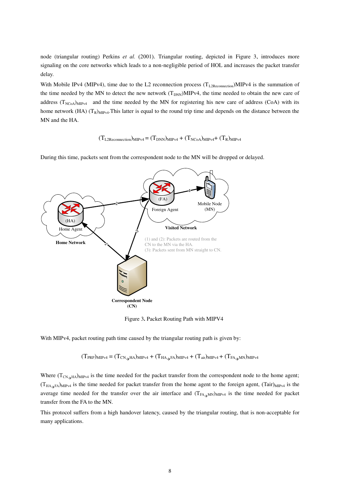node (triangular routing) Perkins *et al.* (2001). Triangular routing, depicted in Figure 3, introduces more signaling on the core networks which leads to a non-negligible period of HOL and increases the packet transfer delay.

With Mobile IPv4 (MIPv4), time due to the L2 reconnection process  $(T_{L2\text{Reconnection}})MIPv4$  is the summation of the time needed by the MN to detect the new network  $(T_{DNN})MIPv4$ , the time needed to obtain the new care of address  $(T_{NCoA)MPv4}$  and the time needed by the MN for registering his new care of address (CoA) with its home network (HA)  $(T_R)_{MIPv4}$ . This latter is equal to the round trip time and depends on the distance between the MN and the HA.

 $(T_{\text{L2Reconnection}})_{\text{MIPv4}} = (T_{\text{DNN}})_{\text{MIPv4}} + (T_{\text{NCoA}})_{\text{MIPv4}} + (T_{\text{R}})_{\text{MIPv4}}$ 

During this time, packets sent from the correspondent node to the MN will be dropped or delayed.



Figure 3**.** Packet Routing Path with MIPV4

With MIPv4, packet routing path time caused by the triangular routing path is given by:

 $(T_{PRP})_{\text{MIPv4}} = (T_{\text{CN-HA}})_{\text{MIPv4}} + (T_{\text{HA-FA}})_{\text{MIPv4}} + (T_{\text{air}})_{\text{MIPv4}} + (T_{\text{FA-MM}})_{\text{MIPv4}}$ 

Where  $(T_{CN,AB})_{\text{MPv4}}$  is the time needed for the packet transfer from the correspondent node to the home agent;  $(T_{HA_3FA})_{MPv4}$  is the time needed for packet transfer from the home agent to the foreign agent,  $(Tair)_{MPv4}$  is the average time needed for the transfer over the air interface and  $(T_{FA\rightarrow MN})_{MIPv4}$  is the time needed for packet transfer from the FA to the MN.

This protocol suffers from a high handover latency, caused by the triangular routing, that is non-acceptable for many applications.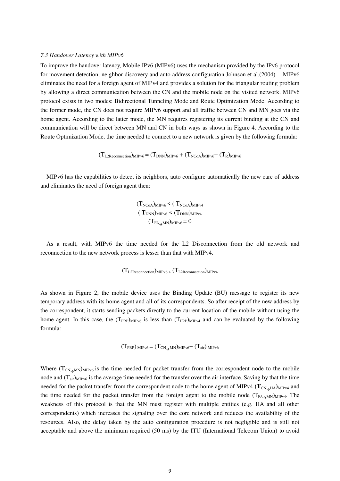#### *7.3 Handover Latency with MIPv6*

To improve the handover latency, Mobile IPv6 (MIPv6) uses the mechanism provided by the IPv6 protocol for movement detection, neighbor discovery and auto address configuration Johnson et al.(2004). MIPv6 eliminates the need for a foreign agent of MIPv4 and provides a solution for the triangular routing problem by allowing a direct communication between the CN and the mobile node on the visited network. MIPv6 protocol exists in two modes: Bidirectional Tunneling Mode and Route Optimization Mode. According to the former mode, the CN does not require MIPv6 support and all traffic between CN and MN goes via the home agent. According to the latter mode, the MN requires registering its current binding at the CN and communication will be direct between MN and CN in both ways as shown in Figure 4. According to the Route Optimization Mode, the time needed to connect to a new network is given by the following formula:

$$
(T_{\text{L2Reconnection}})_{\text{MIPv6}} = (T_{\text{DNN}})_{\text{MIPv6}} + (T_{\text{NCoA}})_{\text{MIPv6}} + (T_{\text{R}})_{\text{MIPv6}}
$$

MIPv6 has the capabilities to detect its neighbors, auto configure automatically the new care of address and eliminates the need of foreign agent then:

> $(T_{NCoA})_{\text{MIPv6}}$  <  $(T_{NCoA})_{\text{MIPv4}}$  $(T_{DNN})_{\text{MIPv6}}$  <  $(T_{DNN})_{\text{MIPv4}}$  $(T_{FA \rightarrow MN})_{MIPv6} = 0$

As a result, with MIPv6 the time needed for the L2 Disconnection from the old network and reconnection to the new network process is lesser than that with MIPv4.

$$
(T_{L2Reconnection})_{MIPv6} \times (T_{L2Reconnection})_{MIPv4}
$$

As shown in Figure 2, the mobile device uses the Binding Update (BU) message to register its new temporary address with its home agent and all of its correspondents. So after receipt of the new address by the correspondent, it starts sending packets directly to the current location of the mobile without using the home agent. In this case, the  $(T_{PRP)_{MIPv6}}$  is less than  $(T_{PRP})_{MIPv4}$  and can be evaluated by the following formula:

$$
(T_{PRP})_{\text{MIPv6}} = (T_{\text{CN}_\rightarrow\text{MN}})_{\text{MIPv6}} + (T_{\text{air}})_{\text{MIPv6}}
$$

Where  $(T_{CN\_\text{MIN}})_{\text{MIPv6}}$  is the time needed for packet transfer from the correspondent node to the mobile node and  $(T_{air})_{MIPv6}$  is the average time needed for the transfer over the air interface. Saving by that the time needed for the packet transfer from the correspondent node to the home agent of MIPv4  $(T_{CN\rightarrow HA})_{\text{MIPv4}}$  and the time needed for the packet transfer from the foreign agent to the mobile node  $(T_{FA\rightarrow MN})_{MIPv4}$ . The weakness of this protocol is that the MN must register with multiple entities (e.g. HA and all other correspondents) which increases the signaling over the core network and reduces the availability of the resources. Also, the delay taken by the auto configuration procedure is not negligible and is still not acceptable and above the minimum required (50 ms) by the ITU (International Telecom Union) to avoid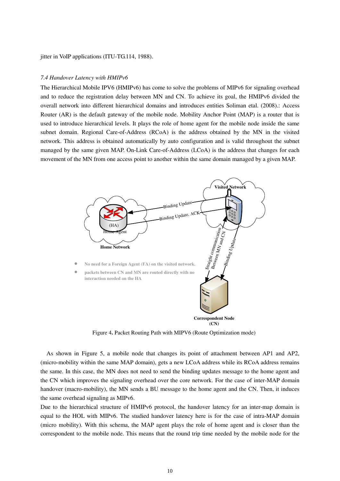jitter in VoIP applications (ITU-TG.114, 1988).

#### *7.4 Handover Latency with HMIPv6*

The Hierarchical Mobile IPV6 (HMIPv6) has come to solve the problems of MIPv6 for signaling overhead and to reduce the registration delay between MN and CN. To achieve its goal, the HMIPv6 divided the overall network into different hierarchical domains and introduces entities Soliman etal. (2008).: Access Router (AR) is the default gateway of the mobile node. Mobility Anchor Point (MAP) is a router that is used to introduce hierarchical levels. It plays the role of home agent for the mobile node inside the same subnet domain. Regional Care-of-Address (RCoA) is the address obtained by the MN in the visited network. This address is obtained automatically by auto configuration and is valid throughout the subnet managed by the same given MAP. On-Link Care-of-Address (LCoA) is the address that changes for each movement of the MN from one access point to another within the same domain managed by a given MAP.



Figure 4**.** Packet Routing Path with MIPV6 (Route Optimization mode)

As shown in Figure 5, a mobile node that changes its point of attachment between AP1 and AP2, (micro-mobility within the same MAP domain), gets a new LCoA address while its RCoA address remains the same. In this case, the MN does not need to send the binding updates message to the home agent and the CN which improves the signaling overhead over the core network. For the case of inter-MAP domain handover (macro-mobility), the MN sends a BU message to the home agent and the CN. Then, it induces the same overhead signaling as MIPv6.

Due to the hierarchical structure of HMIPv6 protocol, the handover latency for an inter-map domain is equal to the HOL with MIPv6. The studied handover latency here is for the case of intra-MAP domain (micro mobility). With this schema, the MAP agent plays the role of home agent and is closer than the correspondent to the mobile node. This means that the round trip time needed by the mobile node for the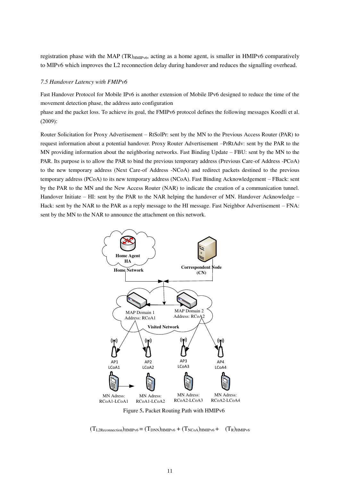registration phase with the MAP (TR) $_{HMPv6}$ , acting as a home agent, is smaller in HMIPv6 comparatively to MIPv6 which improves the L2 reconnection delay during handover and reduces the signalling overhead.

## *7.5 Handover Latency with FMIPv6*

Fast Handover Protocol for Mobile IPv6 is another extension of Mobile IPv6 designed to reduce the time of the movement detection phase, the address auto configuration

phase and the packet loss. To achieve its goal, the FMIPv6 protocol defines the following messages Koodli et al. (2009):

Router Solicitation for Proxy Advertisement – RtSolPr: sent by the MN to the Previous Access Router (PAR) to request information about a potential handover. Proxy Router Advertisement –PrRtAdv: sent by the PAR to the MN providing information about the neighboring networks. Fast Binding Update – FBU: sent by the MN to the PAR. Its purpose is to allow the PAR to bind the previous temporary address (Previous Care-of Address -PCoA) to the new temporary address (Next Care-of Address -NCoA) and redirect packets destined to the previous temporary address (PCoA) to its new temporary address (NCoA). Fast Binding Acknowledgement – FBack: sent by the PAR to the MN and the New Access Router (NAR) to indicate the creation of a communication tunnel. Handover Initiate – HI: sent by the PAR to the NAR helping the handover of MN. Handover Acknowledge – Hack: sent by the NAR to the PAR as a reply message to the HI message. Fast Neighbor Advertisement – FNA: sent by the MN to the NAR to announce the attachment on this network.



 $(T_{\text{L2Reconnection}})_{\text{HMIPv6}} = (T_{\text{DNN}})_{\text{HMIPv6}} + (T_{\text{NCoA}})_{\text{HMIPv6}} + (T_{\text{R}})_{\text{HMIPv6}}$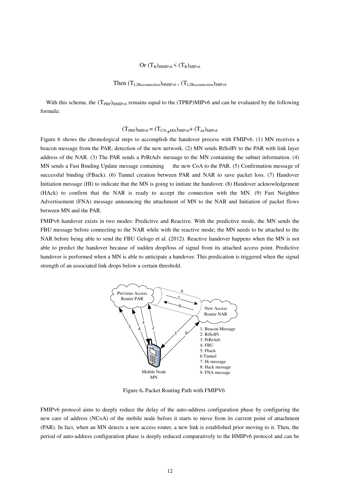## Or  $(T_R)_{HMPv6} < (T_R)_{MIPv6}$

Then  $(T_{L2Reconnection})$ HMIPv6 <  $(T_{L2Reconnection})$ MIPv6

With this schema, the  $(T_{PRP})_{HMPv6}$  remains equal to the (TPRP)MIPv6 and can be evaluated by the following formula:

$$
(\mathrm{T}_{\mathrm{PRP}})_{\mathrm{MIPv6}} = (\mathrm{T}_{\mathrm{CN}\rightarrow\mathrm{MN}})_{\mathrm{MIPv6}} + (\mathrm{T}_{\mathrm{air}})_{\mathrm{MIPv6}}
$$

Figure 6 shows the chronological steps to accomplish the handover process with FMIPv6. (1) MN receives a beacon message from the PAR; detection of the new network. (2) MN sends RtSolPr to the PAR with link layer address of the NAR. (3) The PAR sends a PrRtAdv message to the MN containing the subnet information. (4) MN sends a Fast Binding Update message containing the new CoA to the PAR. (5) Confirmation message of successful binding (FBack). (6) Tunnel creation between PAR and NAR to save packet loss. (7) Handover Initiation message (HI) to indicate that the MN is going to initiate the handover. (8) Handover acknowledgement (HAck) to confirm that the NAR is ready to accept the connection with the MN. (9) Fast Neighbor Advertisement (FNA) message announcing the attachment of MN to the NAR and Initiation of packet flows between MN and the PAR.

FMIPv6 handover exists in two modes: Predictive and Reactive. With the predictive mode, the MN sends the FBU message before connecting to the NAR while with the reactive mode; the MN needs to be attached to the NAR before being able to send the FBU Gelogo et al. (2012). Reactive handover happens when the MN is not able to predict the handover because of sudden drop/loss of signal from its attached access point. Predictive handover is performed when a MN is able to anticipate a handover. This predication is triggered when the signal strength of an associated link drops below a certain threshold.



Figure 6**.** Packet Routing Path with FMIPV6

FMIPv6 protocol aims to deeply reduce the delay of the auto-address configuration phase by configuring the new care of address (NCoA) of the mobile node before it starts to move from its current point of attachment (PAR). In fact, when an MN detects a new access router, a new link is established prior moving to it. Then, the period of auto-address configuration phase is deeply reduced comparatively to the HMIPv6 protocol and can be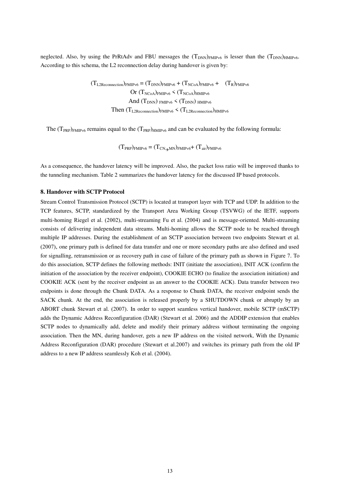neglected. Also, by using the PrRtAdv and FBU messages the  $(T_{DNN})$ FMIPv6 is lesser than the  $(T_{DNN})$ HMIPv6. According to this schema, the L2 reconnection delay during handover is given by:

> $(T_{L2Reconnection})_{FMIPv6} = (T_{DNN})_{FMIPv6} + (T_{NCoA})_{FMIPv6} + (T_R)_{FMIPv6}$ Or  $(T_{NCoA})_{FMIPv6}$  <  $(T_{NCoA})_{HMIPv6}$ And  $(T_{DNN})$  FMIPv6  $\leq$   $(T_{DNN})$  HMIPv6 Then  $(T_{L2Recommendation})$ FMIPv6  $\leq$   $(T_{L2Recommendation})$ HMIPv6

The  $(T_{PRP})_{FMIPv6}$  remains equal to the  $(T_{PRP})_{HMPv6}$  and can be evaluated by the following formula:

 $(T_{PRP})_{FMIPv6} = (T_{CN\rightarrow MN})_{FMIPv6} + (T_{air})_{FMIPv6}$ 

As a consequence, the handover latency will be improved. Also, the packet loss ratio will be improved thanks to the tunneling mechanism. Table 2 summarizes the handover latency for the discussed IP based protocols.

## **8. Handover with SCTP Protocol**

Stream Control Transmission Protocol (SCTP) is located at transport layer with TCP and UDP. In addition to the TCP features, SCTP, standardized by the Transport Area Working Group (TSVWG) of the IETF, supports multi-homing Riegel et al. (2002), multi-streaming Fu et al. (2004) and is message-oriented. Multi-streaming consists of delivering independent data streams. Multi-homing allows the SCTP node to be reached through multiple IP addresses. During the establishment of an SCTP association between two endpoints Stewart et al. (2007), one primary path is defined for data transfer and one or more secondary paths are also defined and used for signalling, retransmission or as recovery path in case of failure of the primary path as shown in Figure 7. To do this association, SCTP defines the following methods: INIT (initiate the association), INIT ACK (confirm the initiation of the association by the receiver endpoint), COOKIE ECHO (to finalize the association initiation) and COOKIE ACK (sent by the receiver endpoint as an answer to the COOKIE ACK). Data transfer between two endpoints is done through the Chunk DATA. As a response to Chunk DATA, the receiver endpoint sends the SACK chunk. At the end, the association is released properly by a SHUTDOWN chunk or abruptly by an ABORT chunk Stewart et al. (2007). In order to support seamless vertical handover, mobile SCTP (mSCTP) adds the Dynamic Address Reconfiguration (DAR) (Stewart et al. 2006) and the ADDIP extension that enables SCTP nodes to dynamically add, delete and modify their primary address without terminating the ongoing association. Then the MN, during handover, gets a new IP address on the visited network, With the Dynamic Address Reconfiguration (DAR) procedure (Stewart et al.2007) and switches its primary path from the old IP address to a new IP address seamlessly Koh et al. (2004).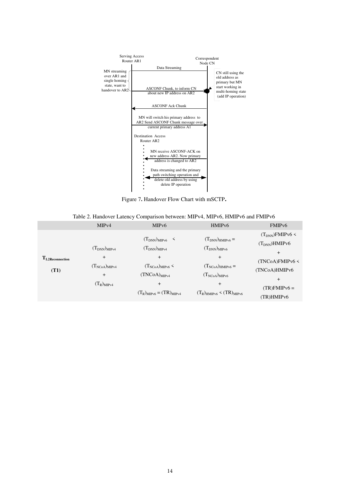

Figure 7**.** Handover Flow Chart with mSCTP**.** 

Table 2. Handover Latency Comparison between: MIPv4, MIPv6, HMIPv6 and FMIPv6

|                               | MIPv4                                                                                        | MIP <sub>v</sub> 6                                                                                                                                            | HMIP <sub>v</sub> 6                                                                                                                                                            | FMIP <sub>v</sub> 6                                                                                                        |
|-------------------------------|----------------------------------------------------------------------------------------------|---------------------------------------------------------------------------------------------------------------------------------------------------------------|--------------------------------------------------------------------------------------------------------------------------------------------------------------------------------|----------------------------------------------------------------------------------------------------------------------------|
| $T_{L2}$ Reconnection<br>(T1) | $(T_{DNN})_{MIPv4}$<br>$^{+}$<br>$(T_{NCoA})_{MIPv4}$<br>$\ddot{}$<br>$(T_R)_{\text{MIPv4}}$ | $(T_{DNN})_{MIPv6}$ <<br>$(T_{DNN})_{MIPv4}$<br>$^{+}$<br>$(T_{NCoA})_{MIPv6}$<br>$(TNCoA)_{MIPv4}$<br>$^{+}$<br>$(T_R)_{\text{MIPv6}} = (TR)_{\text{MIPv4}}$ | $(T_{DNN})_{HMIPV6} =$<br>$(T_{DNN})_{MIPv6}$<br>$^{+}$<br>$(T_{NCoA})_{HMIPv6} =$<br>$(T_{NCoA})_{MIPv6}$<br>$^{+}$<br>$(T_R)$ <sub>HMIPv6</sub> $\leq$ (TR) <sub>MIPv6</sub> | $(T_{DNN})$ FMIPv6 <<br>$(T_{DNN})$ HMIPv6<br>$\ddot{}$<br>(TNCoA)FMIPv6 <<br>(TNCoA)HMIPv6<br>$\pm$<br>$(TR)$ FMIP $v6 =$ |
|                               |                                                                                              |                                                                                                                                                               |                                                                                                                                                                                | (TR)HMIPv6                                                                                                                 |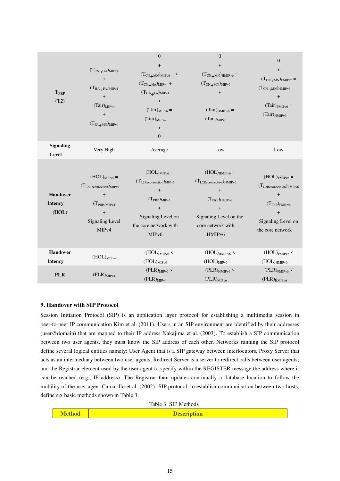| <b>T</b> <sub>PRP</sub><br>(T2) | $(T_{CN\rightarrow HA})_{MIPv4}$<br>$+$<br>$(T_{HA\rightarrow FA})_{MIPv4}$<br>$\ddot{}$<br>$(Tair)_{MIPv4}$<br>$\qquad \qquad +$<br>$(T_{FA\rightarrow MN})_{MIPv4}$ | $\overline{0}$<br>$^{+}$<br>$(T_{CN\rightarrow MN})_{MIPv6}$<br>$\leq$<br>$(T_{CN\rightarrow HA})_{MIPv4}$ +<br>$(T_{HA\rightarrow FA})_{MIPv4}$<br>$\qquad \qquad +$<br>$(Tair)_{MIPv6} =$<br>$(Tair)_{MIPv4}$<br>$\boldsymbol{+}$<br>$\boldsymbol{0}$ | $\theta$<br>$\ddot{}$<br>$(T_{CN\rightarrow MN})_{HMIPV6} =$<br>$(T_{CN\rightarrow MN})_{MIPv6}$<br>$+$<br>$(Tair)_{HMIPv6} =$<br>$(Tair)_{MIPv6}$                                        | $\mathbf{0}$<br>$\begin{array}{c} + \end{array}$<br>$(T_{CN\rightarrow MN})_{FMIPv6} =$<br>$(T_{CN\rightarrow MN})_{HMIPv6}$<br>$\qquad \qquad +$<br>$(Tair)_{FMIPv6} =$<br>$(Tair)_{HMIPv6}$ |
|---------------------------------|-----------------------------------------------------------------------------------------------------------------------------------------------------------------------|---------------------------------------------------------------------------------------------------------------------------------------------------------------------------------------------------------------------------------------------------------|-------------------------------------------------------------------------------------------------------------------------------------------------------------------------------------------|-----------------------------------------------------------------------------------------------------------------------------------------------------------------------------------------------|
| <b>Signaling</b><br>Level       | Very High                                                                                                                                                             | Average                                                                                                                                                                                                                                                 | Low                                                                                                                                                                                       | Low                                                                                                                                                                                           |
| Handover<br>latency<br>(HOL)    | $(HOL)_{MIPv4} =$<br>$(T_{L2Reconnection})$ MIPv4<br>$\boldsymbol{+}$<br>$(T_{PRP})_{MIPv4}$<br>$+$<br><b>Signaling Level</b><br>MIP <sub>v4</sub>                    | $(HOL)_{MIPv6} =$<br>$(T_{L2Reconnection})_{MIPv6}$<br>$\boldsymbol{+}$<br>$(T_{PRP})_{MIPv6}$<br>$\boldsymbol{+}$<br>Signaling Level on<br>the core network with<br>MIP <sub>v</sub> 6                                                                 | $(HOL)_{HMIPV6} =$<br>$(T_{L2Reconnection})$ HMIPv6<br>$\overline{+}$<br>$(T_{PRP})$ HMIP <sub>V6</sub><br>$\ddot{}$<br>Signaling Level on the<br>core network with<br>HMIP <sub>v6</sub> | $(HOL)_{FMIPV6} =$<br>$(T_{L2Reconnection})$ FMIPv6<br>$\qquad \qquad +$<br>$(T_{PRP})_{FMIPv6}$<br>$+$<br>Signaling Level on<br>the core network                                             |
| Handover<br>latency             | $(HOL)_{MIPv4}$                                                                                                                                                       | $(HOL)_{MIPv6}$<br>$(HOL)_{MIPv4}$                                                                                                                                                                                                                      | $(HOL)_{HMIPV6}$<br>$(HOL)_{MIPv6}$                                                                                                                                                       | $(HOL)_{FMIPv6}$<br>$(HOL)_{HMIPV6}$                                                                                                                                                          |
| <b>PLR</b>                      | $(PLR)_{MIPv4}$                                                                                                                                                       | $(PLR)_{MIPv6}$<br>$(PLR)_{MIPv4}$                                                                                                                                                                                                                      | $(PLR)_{HMIPV6}$<br>$(PLR)_{MIPv6}$                                                                                                                                                       | $(PLR)_{FMIPv6}$<br>$(PLR)_{HMIPV6}$                                                                                                                                                          |

## **9. Handover with SIP Protocol**

Session Initiation Protocol (SIP) is an application layer protocol for establishing a multimedia session in peer-to-peer IP communication Kim et al. (2011). Users in an SIP environment are identified by their addresses (user@domain) that are mapped to their IP address Nakajima et al. (2003). To establish a SIP communication between two user agents, they must know the SIP address of each other. Networks running the SIP protocol define several logical entities namely: User Agent that is a SIP gateway between interlocutors, Proxy Server that acts as an intermediary between two user agents, Redirect Server is a server to redirect calls between user agents; and the Registrar element used by the user agent to specify within the REGISTER message the address where it can be reached (e.g., IP address). The Registrar then updates continually a database location to follow the mobility of the user agent Camarillo et al. (2002). SIP protocol, to establish communication between two hosts, define six basic methods shown in Table 3.

Table 3. SIP Methods

| <b>Method</b><br><b>Description</b> |
|-------------------------------------|
|-------------------------------------|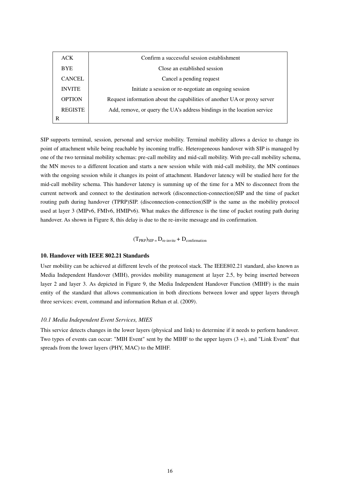| <b>ACK</b>     | Confirm a successful session establishment                               |
|----------------|--------------------------------------------------------------------------|
| <b>BYE</b>     | Close an established session                                             |
| <b>CANCEL</b>  | Cancel a pending request                                                 |
| <b>INVITE</b>  | Initiate a session or re-negotiate an ongoing session                    |
| <b>OPTION</b>  | Request information about the capabilities of another UA or proxy server |
| <b>REGISTE</b> | Add, remove, or query the UA's address bindings in the location service  |
|                |                                                                          |

SIP supports terminal, session, personal and service mobility. Terminal mobility allows a device to change its point of attachment while being reachable by incoming traffic. Heterogeneous handover with SIP is managed by one of the two terminal mobility schemas: pre-call mobility and mid-call mobility. With pre-call mobility schema, the MN moves to a different location and starts a new session while with mid-call mobility, the MN continues with the ongoing session while it changes its point of attachment. Handover latency will be studied here for the mid-call mobility schema. This handover latency is summing up of the time for a MN to disconnect from the current network and connect to the destination network (disconnection-connection)SIP and the time of packet routing path during handover (TPRP)SIP. (disconnection-connection)SIP is the same as the mobility protocol used at layer 3 (MIPv6, FMIv6, HMIPv6). What makes the difference is the time of packet routing path during handover. As shown in Figure 8, this delay is due to the re-invite message and its confirmation.

 $(T_{PRP})_{SIP} = D_{re\text{-}invit} + D_{confirmation}$ 

## **10. Handover with IEEE 802.21 Standards**

User mobility can be achieved at different levels of the protocol stack. The IEEE802.21 standard, also known as Media Independent Handover (MIH), provides mobility management at layer 2.5, by being inserted between layer 2 and layer 3. As depicted in Figure 9, the Media Independent Handover Function (MIHF) is the main entity of the standard that allows communication in both directions between lower and upper layers through three services: event, command and information Rehan et al. (2009).

## *10.1 Media Independent Event Services, MIES*

This service detects changes in the lower layers (physical and link) to determine if it needs to perform handover. Two types of events can occur: "MIH Event" sent by the MIHF to the upper layers (3 +), and "Link Event" that spreads from the lower layers (PHY, MAC) to the MIHF.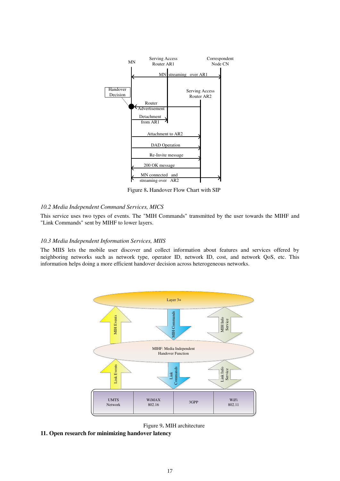

Figure 8**.** Handover Flow Chart with SIP

## *10.2 Media Independent Command Services, MICS*

This service uses two types of events. The "MIH Commands" transmitted by the user towards the MIHF and "Link Commands" sent by MIHF to lower layers.

## *10.3 Media Independent Information Services, MIIS*

The MIIS lets the mobile user discover and collect information about features and services offered by neighboring networks such as network type, operator ID, network ID, cost, and network QoS, etc. This information helps doing a more efficient handover decision across heterogeneous networks.



Figure 9**.** MIH architecture

**11. Open research for minimizing handover latency**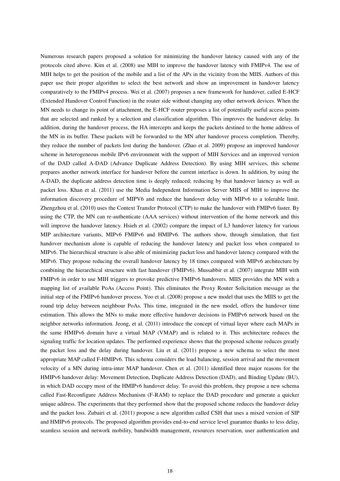Numerous research papers proposed a solution for minimizing the handover latency caused with any of the protocols cited above. Kim et al. (2008) use MIH to improve the handover latency with FMIPv4. The use of MIH helps to get the position of the mobile and a list of the APs in the vicinity from the MIIS. Authors of this paper use their proper algorithm to select the best network and show an improvement in handover latency comparatively to the FMIPv4 process. Wei et al. (2007) proposes a new framework for handover, called E-HCF (Extended Handover Control Function) in the router side without changing any other network devices. When the MN needs to change its point of attachment, the E-HCF router proposes a list of potentially useful access points that are selected and ranked by a selection and classification algorithm. This improves the handover delay. In addition, during the handover process, the HA intercepts and keeps the packets destined to the home address of the MN in its buffer. These packets will be forwarded to the MN after handover process completion. Thereby, they reduce the number of packets lost during the handover. (Zhao et al. 2009) propose an improved handover scheme in heterogeneous mobile IPv6 environment with the support of MIH Services and an improved version of the DAD called A-DAD (Advance Duplicate Address Detection). By using MIH services, this scheme prepares another network interface for handover before the current interface is down. In addition, by using the A-DAD, the duplicate address detection time is deeply reduced; reducing by that handover latency as well as packet loss. Khan et al. (2011) use the Media Independent Information Server MIIS of MIH to improve the information discovery procedure of MIPV6 and reduce the handover delay with MIPv6 to a tolerable limit. Zhengzhou et al. (2010) uses the Context Transfer Protocol (CTP) to make the handover with FMIPv6 faster. By using the CTP, the MN can re-authenticate (AAA services) without intervention of the home network and this will improve the handover latency. Hsieh et al. (2002) compare the impact of L3 handover latency for various MIP architecture variants, MIPv6 FMIPv6 and HMIPv6. The authors show, through simulation, that fast handover mechanism alone is capable of reducing the handover latency and packet loss when compared to MIPv6. The hierarchical structure is also able of minimizing packet loss and handover latency compared with the MlPv6. They propose reducing the overall handover latency by 18 times compared with MIPv6 architecture by combining the hierarchical structure with fast handover (FMIPv6). Mussabbir et al. (2007) integrate MIH with FMIPv6 in order to use MIH triggers to provoke predictive FMIPv6 handovers. MIIS provides the MN with a mapping list of available PoAs (Access Point). This eliminates the Proxy Router Solicitation message as the initial step of the FMIPv6 handover process. Yoo et al. (2008) propose a new model that uses the MIIS to get the round trip delay between neighbour PoAs. This time, integrated in the new model, offers the handover time estimation. This allows the MNs to make more effective handover decisions in FMIPv6 network based on the neighbor networks information. Jeong, et al. (2011) introduce the concept of virtual layer where each MAPs in the same HMIPv6 domain have a virtual MAP (VMAP) and is related to it. This architecture reduces the signaling traffic for location updates. The performed experience shows that the proposed scheme reduces greatly the packet loss and the delay during handover. Liu et al. (2011) propose a new schema to select the most appropriate MAP called F-HMIPv6. This schema considers the load balancing, session arrival and the movement velocity of a MN during intra-inter MAP handover. Chen et al. (2011) identified three major reasons for the HMIPv6 handover delay: Movement Detection, Duplicate Address Detection (DAD), and Binding Update (BU), in which DAD occupy most of the HMIPv6 handover delay. To avoid this problem, they propose a new schema called Fast-Reconfigure Address Mechanism (F-RAM) to replace the DAD procedure and generate a quicker unique address. The experiments that they performed show that the proposed scheme reduces the handover delay and the packet loss. Zubairi et al. (2011) propose a new algorithm called CSH that uses a mixed version of SIP and HMIPv6 protocols. The proposed algorithm provides end-to-end service level guarantee thanks to less delay, seamless session and network mobility, bandwidth management, resources reservation, user authentication and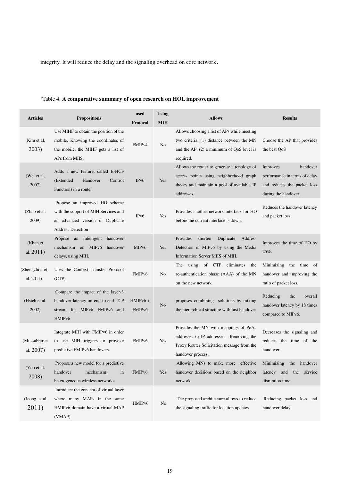integrity. It will reduce the delay and the signaling overhead on core network.

| <b>Articles</b>            | <b>Propositions</b>                                                                                                                   | used<br>Protocol                 | <b>Using</b><br><b>MIH</b> | <b>Allows</b>                                                                                                                                        | <b>Results</b>                                                                                               |
|----------------------------|---------------------------------------------------------------------------------------------------------------------------------------|----------------------------------|----------------------------|------------------------------------------------------------------------------------------------------------------------------------------------------|--------------------------------------------------------------------------------------------------------------|
| (Kim et al.<br>2003)       | Use MIHF to obtain the position of the<br>mobile. Knowing the coordinates of<br>the mobile, the MIHF gets a list of<br>APs from MIIS. | FMIP <sub>v4</sub>               | No                         | Allows choosing a list of APs while meeting<br>two criteria: (1) distance between the MN<br>and the AP. $(2)$ a minimum of QoS level is<br>required. | Choose the AP that provides<br>the best QoS                                                                  |
| (Wei et al.<br>2007)       | Adds a new feature, called E-HCF<br>(Extended<br>Handover<br>Control<br>Function) in a router.                                        | IP <sub>v</sub> 6                | Yes                        | Allows the router to generate a topology of<br>access points using neighborhood graph<br>theory and maintain a pool of available IP<br>addresses.    | handover<br>Improves<br>performance in terms of delay<br>and reduces the packet loss<br>during the handover. |
| (Zhao et al.<br>2009)      | Propose an improved HO scheme<br>with the support of MIH Services and<br>an advanced version of Duplicate<br><b>Address Detection</b> | IP <sub>v</sub> 6                | Yes                        | Provides another network interface for HO<br>before the current interface is down.                                                                   | Reduces the handover latency<br>and packet loss.                                                             |
| (Khan et)<br>al. $2011$ )  | Propose an intelligent handover<br>mechanism on MIPv6 handover<br>delays, using MIH.                                                  | MIP <sub>v</sub> 6               | Yes                        | Provides<br>Duplicate<br>Address<br>shorten<br>Detection of MIPv6 by using the Media<br>Information Server MIIS of MIH.                              | Improves the time of HO by<br>$25%$ .                                                                        |
| (Zhengzhou et<br>al. 2011) | Uses the Context Transfer Protocol<br>(CTP)                                                                                           | FMIP <sub>v6</sub>               | No                         | using of CTP<br>eliminates<br>the<br>The<br>re-authentication phase (AAA) of the MN<br>on the new network                                            | Minimizing<br>the time<br>of<br>handover and improving the<br>ratio of packet loss.                          |
| (Hsieh et al.<br>2002)     | Compare the impact of the layer-3<br>handover latency on end-to-end TCP<br>stream for MIPv6 FMIPv6 and<br>HMIP <sub>v</sub> 6         | $HMIPv6 +$<br>FMIP <sub>v6</sub> | N <sub>o</sub>             | proposes combining solutions by mixing<br>the hierarchical structure with fast handover                                                              | Reducing<br>the<br>overall<br>handover latency by 18 times<br>compared to MIPv6.                             |
| (Mussabbir et<br>al. 2007) | Integrate MIH with FMIP $v6$ in order<br>to use MIH triggers to provoke<br>predictive FMIPv6 handovers.                               | FMIP <sub>v6</sub>               | Yes                        | Provides the MN with mappings of PoAs<br>addresses to IP addresses. Removing the<br>Proxy Router Solicitation message from the<br>handover process.  | Decreases the signaling and<br>reduces the time of the<br>handover.                                          |
| (Yoo et al.<br>2008)       | Propose a new model for a predictive<br>handover<br>mechanism<br>in<br>heterogeneous wireless networks.                               | FMIP <sub>v6</sub>               | Yes                        | Allowing MNs to make more effective<br>handover decisions based on the neighbor<br>network                                                           | Minimizing<br>the<br>handover<br>latency and<br>the<br>service<br>disruption time.                           |
| (Jeong, et al.<br>2011)    | Introduce the concept of virtual layer<br>where many MAPs in the same<br>HMIPv6 domain have a virtual MAP<br>(VMAP)                   | HMIP <sub>v6</sub>               | No                         | The proposed architecture allows to reduce<br>the signaling traffic for location updates                                                             | Reducing packet loss and<br>handover delay.                                                                  |

## 'Table 4. **A comparative summary of open research on HOL improvement**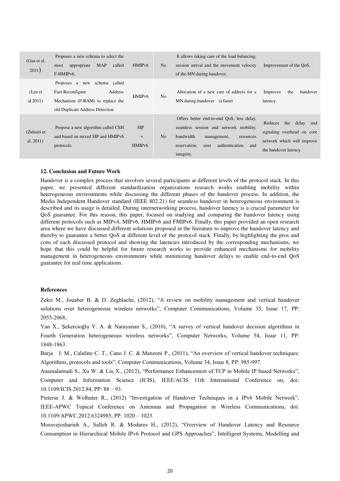| (Gan et al.<br>2011)        | Proposes a new schema to select the<br><b>MAP</b><br>appropriate<br>called<br>most<br>F-HMIP <sub>v</sub> 6.                             | HMIPv6                            | No             | It allows taking care of the load balancing.<br>session arrival and the movement velocity<br>of the MN during handover.                                                                     | Improvement of the OoS.                                                                                             |
|-----------------------------|------------------------------------------------------------------------------------------------------------------------------------------|-----------------------------------|----------------|---------------------------------------------------------------------------------------------------------------------------------------------------------------------------------------------|---------------------------------------------------------------------------------------------------------------------|
| (Lee et<br>al.2011)         | schema called<br>Proposes a<br>new<br>Fast-Reconfigure<br>Address<br>Mechanism (F-RAM) to replace the<br>old Duplicate Address Detection | HMIP <sub>v6</sub>                | N <sub>o</sub> | Allocation of a new care of address for a<br>MN during handover is faster                                                                                                                   | the<br>handover<br>Improves<br>latency.                                                                             |
| (Zubairi et<br>al. $2011$ ) | Propose a new algorithm called CSH<br>and based on mixed SIP and HMIPv6<br>protocols.                                                    | SIP<br>$+$<br>HMIP <sub>v</sub> 6 | N <sub>o</sub> | Offers better end-to-end OoS, less delay,<br>seamless session and network mobility,<br>bandwidth<br>management,<br>resources<br>reservation,<br>authentication<br>and<br>user<br>integrity. | the<br>delay<br>Reduces<br>and<br>signaling overhead on core<br>network which will improve<br>the handover latency. |

## **12. Conclusion and Future Work**

Handover is a complex process that involves several participants at different levels of the protocol stack. In this paper, we presented different standardization organizations research works enabling mobility within heterogeneous environments while discussing the different phases of the handover process. In addition, the Media Independent Handover standard (IEEE 802.21) for seamless handover in heterogeneous environment is described and its usage is detailed. During internetworking process, handover latency is a crucial parameter for QoS guarantee. For this reason, this paper, focused on studying and comparing the handover latency using different protocols such as MIPv4, MIPv6, HMIPv6 and FMIPv6. Finally, this paper provided an open research area where we have discussed different solutions proposed in the literature to improve the handover latency and thereby to guarantee a better QoS at different level of the protocol stack. Finally, by highlighting the pros and cons of each discussed protocol and showing the latencies introduced by the corresponding mechanisms, we hope that this could be helpful for future research works to provide enhanced mechanisms for mobility management in heterogeneous environments while minimizing handover delays to enable end-to-end QoS guarantee for real time applications.

#### **References**

Zekri M., Jouaber B. & D. Zeghlache, (2012), "A review on mobility management and vertical handover solutions over heterogeneous wireless networks", Computer Communications, Volume 35, Issue 17, PP: 2055-2068,

Yan X., Şekercioğlu Y. A. & Narayanan S., (2010), "A survey of vertical handover decision algorithms in Fourth Generation heterogeneous wireless networks", Computer Networks, Volume 54, Issue 11, PP: 1848-1863.

Barja J. M., Calafate C. T., Cano J. C. & Manzoni P., (2011), "An overview of vertical handover techniques: Algorithms, protocols and tools", Computer Communications, Volume 34, Issue 8, PP: 985-997.

Anamalamudi S., Xu W. & Liu X., (2012), "Performance Enhancement of TCP in Mobile IP based Networks", Computer and Information Science (ICIS), IEEE/ACIS 11th International Conference on, doi: 10.1109/ICIS.2012.84, PP: 88 – 93.

Pieterse J. & Wolhuter R., (2012) "Investigation of Handover Techniques in a IPv6 Mobile Network", IEEE-APWC Topical Conference on Antennas and Propagation in Wireless Communications, doi: 10.1109/APWC.2012.6324985, PP: 1020 – 1023.

Moravejosharieh A., Salleh R. & Modares H., (2012), "Overview of Handover Latency and Resource Consumption in Hierarchical Mobile IPv6 Protocol and GPS Approaches", Intelligent Systems, Modelling and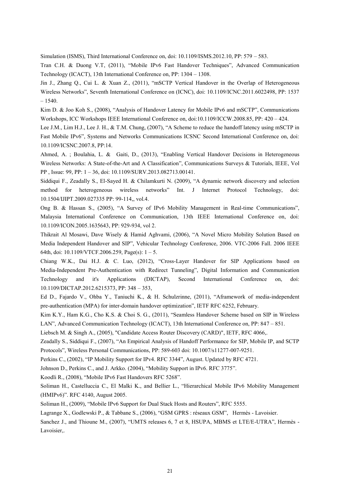Simulation (ISMS), Third International Conference on, doi: 10.1109/ISMS.2012.10, PP: 579 – 583.

Tran C.H. & Duong V.T, (2011), "Mobile IPv6 Fast Handover Techniques", Advanced Communication Technology (ICACT), 13th International Conference on, PP: 1304 – 1308.

Jin J., Zhang Q., Cui L. & Xuan Z., (2011), "mSCTP Vertical Handover in the Overlap of Heterogeneous Wireless Networks", Seventh International Conference on (ICNC), doi: 10.1109/ICNC.2011.6022498, PP: 1537 – 1540.

Kim D. & Joo Koh S., (2008), "Analysis of Handover Latency for Mobile IPv6 and mSCTP", Communications Workshops, ICC Workshops IEEE International Conference on, doi:10.1109/ICCW.2008.85, PP: 420 – 424.

Lee J.M., Lim H.J., Lee J. H., & T.M. Chung, (2007), "A Scheme to reduce the handoff latency using mSCTP in Fast Mobile IPv6", Systems and Networks Communications ICSNC Second International Conference on, doi: 10.1109/ICSNC.2007.8, PP:14.

Ahmed, A. ; Boulahia, L. & Gaiti, D., (2013), "Enabling Vertical Handover Decisions in Heterogeneous Wireless Networks: A State-of-the-Art and A Classification", Communications Surveys & Tutorials, IEEE, Vol PP , Issue: 99, PP: 1 – 36, doi: 10.1109/SURV.2013.082713.00141.

Siddiqui F., Zeadally S., El-Sayed H. & Chilamkurti N. (2009), "A dynamic network discovery and selection method for heterogeneous wireless networks" Int. J Internet Protocol Technology, doi: 10.1504/IJIPT.2009.027335 PP: 99-114,, vol.4.

Ong B. & Hassan S., (2005), "A Survey of IPv6 Mobility Management in Real-time Communications", Malaysia International Conference on Communication, 13th IEEE International Conference on, doi: 10.1109/ICON.2005.1635643, PP: 929-934, vol 2.

Thikrait Al Mosawi, Dave Wisely & Hamid Aghvami, (2006), "A Novel Micro Mobility Solution Based on Media Independent Handover and SIP", [Vehicular Technology Conference, 2006. VTC-2006 Fall. 2006 IEEE](http://ieeexplore.ieee.org/xpl/mostRecentIssue.jsp?punumber=4109264)  [64th,](http://ieeexplore.ieee.org/xpl/mostRecentIssue.jsp?punumber=4109264) doi[: 10.1109/VTCF.2006.259, Page\(s\): 1](http://dx.doi.org/10.1109/VTCF.2006.259) – 5.

Chiang W.K., Dai H.J. & C. Luo, (2012), "Cross-Layer Handover for SIP Applications based on Media-Independent Pre-Authentication with Redirect Tunneling", Digital Information and Communication Technology and it's Applications (DICTAP), Second International Conference on, doi: 10.1109/DICTAP.2012.6215373, PP: 348 – 353,

Ed D., Fajardo V., Ohba Y., Taniuchi K., & H. Schulzrinne, (2011), "Aframework of media-independent pre-authentication (MPA) for inter-domain handover optimization", IETF RFC 6252, February.

Kim K.Y., Ham K.G., Cho K.S. & Choi S. G., (2011), "Seamless Handover Scheme based on SIP in Wireless LAN", Advanced Communication Technology (ICACT), 13th International Conference on, PP: 847 – 851.

Liebsch M. & Singh A., (2005), "Candidate Access Router Discovery (CARD)", IETF, RFC 4066,.

Zeadally S., Siddiqui F., (2007), "An Empirical Analysis of Handoff Performance for SIP, Mobile IP, and SCTP Protocols", Wireless Personal Communications, PP: 589-603 doi: 10.1007/s11277-007-9251.

Perkins C., (2002), "IP Mobility Support for IPv4. RFC 3344", August. Updated by RFC 4721.

Johnson D., Perkins C., and J. Arkko. (2004), "Mobility Support in IPv6. RFC 3775".

Koodli R., (2008), "Mobile IPv6 Fast Handovers RFC 5268".

Soliman H., Castelluccia C., El Malki K., and Bellier L., "Hierarchical Mobile IPv6 Mobility Management (HMIPv6)". RFC 4140, August 2005.

Soliman H., (2009), "Mobile IPv6 Support for Dual Stack Hosts and Routers", RFC 5555.

Lagrange X., Godlewski P., & Tabbane S., (2006), "GSM GPRS : réseaux GSM", Hermès - Lavoisier.

Sanchez J., and Thioune M., (2007), "UMTS releases 6, 7 et 8, HSUPA, MBMS et LTE/E-UTRA", Hermès - Lavoisier,.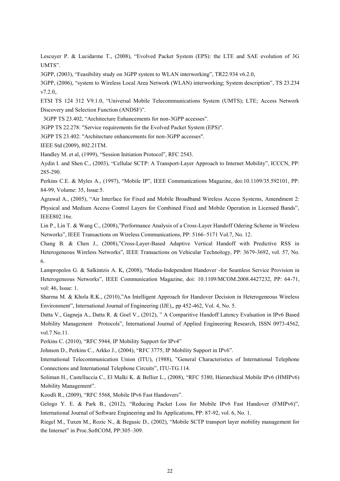Lescuyer P. & Lucidarme T., (2008), "Evolved Packet System (EPS): the LTE and SAE evolution of 3G UMTS".

3GPP, (2003), "Feasibility study on 3GPP system to WLAN interworking", TR22.934 v6.2.0,

3GPP, (2006), "system to Wireless Local Area Network (WLAN) interworking; System description", TS 23.234 v7.2.0,.

ETSI TS 124 312 V9.1.0, "Universal Mobile Telecommunications System (UMTS); LTE; Access Network Discovery and Selection Function (ANDSF)".

3GPP TS 23.402, "Architecture Enhancements for non-3GPP accesses".

3GPP TS 22.278: "Service requirements for the Evolved Packet System (EPS)".

3GPP TS 23.402: "Architecture enhancements for non-3GPP accesses".

IEEE Std (2009), 802.21TM.

Handley M. et al, (1999), "Session Initiation Protocol", RFC 2543.

Aydin I. and Shen C., (2003), "Cellular SCTP: A Transport-Layer Approach to Internet Mobility", ICCCN, PP: 285-290.

Perkins C.E. & Myles A., (1997), "Mobile IP", IEEE Communications Magazine, doi:10.1109/35.592101, PP: 84-99, Volume: 35, Issue:5.

Agrawal A., (2005), "Air Interface for Fixed and Mobile Broadband Wireless Access Systems, Amendment 2: Physical and Medium Access Control Layers for Combined Fixed and Mobile Operation in Licensed Bands", IEEE802.16e.

Lin P., Lin T. & Wang C., (2008),"Performance Analysis of a Cross-Layer Handoff Odering Scheme in Wireless Networks", IEEE Transactions on Wireless Communications, PP: 5166–5171 Vol.7, No. 12.

Chang B. & Chen J., (2008),"Cross-Layer-Based Adaptive Vertical Handoff with Predictive RSS in Heterogeneous Wireless Networks", IEEE Transactions on Vehicular Technology, PP: 3679-3692, vol. 57, No. 6.

Lampropolos G. & Salkintzis A. K, (2008), "Media-Independent Handover -for Seamless Service Provision in Heterogeneous Networks", IEEE Communication Magazine, doi: 10.1109/MCOM.2008.4427232, PP: 64-71, vol: 46, Issue: 1.

Sharma M. & Khola R.K., (2010),"An Intelligent Approach for Handover Decision in Heterogeneous Wireless Environment", International Journal of Engineering (IJE),, pp 452-462, Vol. 4, No. 5.

Datta V., Gagneja A., Datta R. & Goel V., (2012), " A Comparitive Handoff Latency Evaluation in IPv6 Based Mobility Management Protocols", International Journal of Applied Engineering Research, ISSN 0973-4562, vol.7 No.11.

Perkins C. (2010), "RFC 5944, IP Mobility Support for IPv4"

Johnson D., Perkins C., Arkko J., (2004), "RFC 3775, IP Mobility Support in IPv6".

International Telecommunication Union (ITU), (1988), "General Characteristics of International Telephone Connections and International Telephone Circuits", ITU-TG.114.

Soliman H., Castelluccia C., El Malki K. & Bellier L., (2008), "RFC 5380, Hierarchical Mobile IPv6 (HMIPv6) Mobility Management".

Koodli R., (2009), "RFC 5568, Mobile IPv6 Fast Handovers".

Gelogo Y. E. & Park B., (2012), "Reducing Packet Loss for Mobile IPv6 Fast Handover (FMIPv6)", International Journal of Software Engineering and Its Applications, PP: 87-92, vol. 6, No. 1.

Riegel M., Tuxen M., Rozic N., & Begusic D., (2002), "Mobile SCTP transport layer mobility management for the Internet" in Proc.SoftCOM, PP:305–309.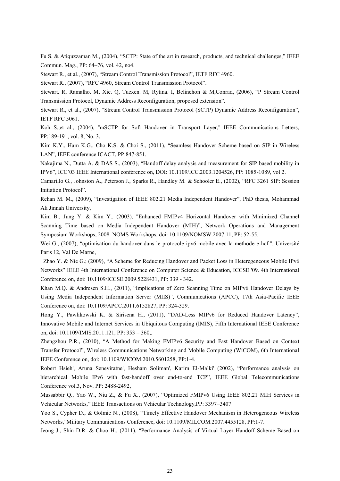Fu S. & Atiquzzaman M., (2004), "SCTP: State of the art in research, products, and technical challenges," IEEE Commun. Mag., PP: 64–76, vol. 42, no4.

Stewart R., et al., (2007), "Stream Control Transmission Protocol", IETF RFC 4960.

Stewart R., (2007), "RFC 4960, Stream Control Transmission Protocol".

Stewart. R, Ramalho. M, Xie. Q, Tuexen. M, Rytina. I, Belinchon & M,Conrad, (2006), "P Stream Control Transmission Protocol, Dynamic Address Reconfiguration, proposed extension".

Stewart R., et al., (2007), "Stream Control Transmission Protocol (SCTP) Dynamic Address Reconfiguration", IETF RFC 5061.

Koh S.,et al., (2004), ''mSCTP for Soft Handover in Transport Layer,'' IEEE Communications Letters, PP:189-191, vol. 8, No. 3.

Kim K.Y., Ham K.G., Cho K.S. & Choi S., (2011), "Seamless Handover Scheme based on SIP in Wireless LAN", IEEE conference ICACT, PP:847-851.

Nakajima N., Dutta A. & DAS S., (2003), "Handoff delay analysis and measurement for SIP based mobility in IPV6", ICC'03 IEEE International conference on, DOI: 10.1109/ICC.2003.1204526, PP: 1085-1089, vol 2.

Camarillo G., Johnston A., Peterson J., Sparks R., Handley M. & Schooler E., (2002), "RFC 3261 SIP: Session Initiation Protocol".

Rehan M. M., (2009), "Investigation of IEEE 802.21 Media Independent Handover", PhD thesis, Mohammad Ali Jinnah University,

Kim B., Jung Y. & Kim Y., (2003), "Enhanced FMIPv4 Horizontal Handover with Minimized Channel Scanning Time based on Media Independent Handover (MIH)", Network Operations and Management Symposium Workshops, 2008. NOMS Workshops, doi: 10.1109/NOMSW.2007.11, PP: 52-55.

Wei G., (2007), "optimisation du handover dans le protocole ipv6 mobile avec la methode e-hcf ", Université Paris 12, Val De Marne,

 Zhao Y. & Nie G.; (2009), "A Scheme for Reducing Handover and Packet Loss in Heteregeneous Mobile IPv6 Networks" IEEE 4th International Conference on Computer Science & Education, ICCSE '09. 4th International Conference on, doi: 10.1109/ICCSE.2009.5228431, PP: 339 - 342.

Khan M.Q. & Andresen S.H., (2011), "Implications of Zero Scanning Time on MIPv6 Handover Delays by Using Media Independent Information Server (MIIS)", Communications (APCC), 17th Asia-Pacific IEEE Conference on, doi: 10.1109/APCC.2011.6152827, PP: 324-329.

Hong Y., Pawlikowski K. & Sirisena H., (2011), "DAD-Less MIPv6 for Reduced Handover Latency", Innovative Mobile and Internet Services in Ubiquitous Computing (IMIS), Fifth International IEEE Conference on, doi: 10.1109/IMIS.2011.121, PP: 353 – 360,.

Zhengzhou P.R., (2010), "A Method for Making FMIPv6 Security and Fast Handover Based on Context Transfer Protocol", Wireless Communications Networking and Mobile Computing (WiCOM), 6th International IEEE Conference on, doi: 10.1109/WICOM.2010.5601258, PP:1-4.

Robert Hsieh', Aruna Seneviratne', Hesham Soliman', Karim El-Malki' (2002), "Performance analysis on hierarchical Mobile IPv6 with fast-handoff over end-to-end TCP", IEEE Global Telecommunications Conference vol.3, Nov. PP: 2488-2492,

Mussabbir Q., Yao W., Niu Z., & Fu X., (2007), "Optimized FMIPv6 Using IEEE 802.21 MIH Services in Vehicular Networks," IEEE Transactions on Vehicular Technology,PP: 3397–3407.

Yoo S., Cypher D., & Golmie N., (2008), "Timely Effective Handover Mechanism in Heterogeneous Wireless Networks,"Military Communications Conference, doi: 10.1109/MILCOM.2007.4455128, PP:1-7.

Jeong J., Shin D.R. & Choo H., (2011), "Performance Analysis of Virtual Layer Handoff Scheme Based on